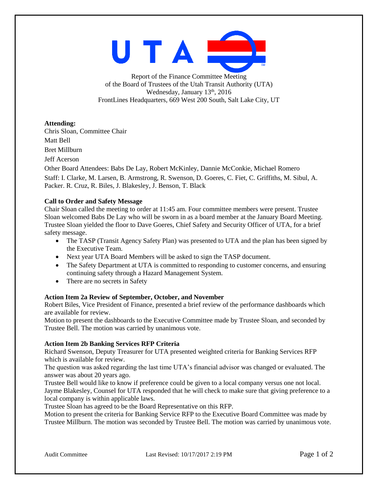

Report of the Finance Committee Meeting of the Board of Trustees of the Utah Transit Authority (UTA) Wednesday, January  $13<sup>th</sup>$ , 2016 FrontLines Headquarters, 669 West 200 South, Salt Lake City, UT

**Attending:**

Chris Sloan, Committee Chair

Matt Bell

Bret Millburn

Jeff Acerson

Other Board Attendees: Babs De Lay, Robert McKinley, Dannie McConkie, Michael Romero Staff: I. Clarke, M. Larsen, B. Armstrong, R. Swenson, D. Goeres, C. Fiet, C. Griffiths, M. Sibul, A. Packer. R. Cruz, R. Biles, J. Blakesley, J. Benson, T. Black

# **Call to Order and Safety Message**

Chair Sloan called the meeting to order at 11:45 am. Four committee members were present. Trustee Sloan welcomed Babs De Lay who will be sworn in as a board member at the January Board Meeting. Trustee Sloan yielded the floor to Dave Goeres, Chief Safety and Security Officer of UTA, for a brief safety message.

- The TASP (Transit Agency Safety Plan) was presented to UTA and the plan has been signed by the Executive Team.
- Next year UTA Board Members will be asked to sign the TASP document.
- The Safety Department at UTA is committed to responding to customer concerns, and ensuring continuing safety through a Hazard Management System.
- There are no secrets in Safety

# **Action Item 2a Review of September, October, and November**

Robert Biles, Vice President of Finance, presented a brief review of the performance dashboards which are available for review.

Motion to present the dashboards to the Executive Committee made by Trustee Sloan, and seconded by Trustee Bell. The motion was carried by unanimous vote.

# **Action Item 2b Banking Services RFP Criteria**

Richard Swenson, Deputy Treasurer for UTA presented weighted criteria for Banking Services RFP which is available for review.

The question was asked regarding the last time UTA's financial advisor was changed or evaluated. The answer was about 20 years ago.

Trustee Bell would like to know if preference could be given to a local company versus one not local. Jayme Blakesley, Counsel for UTA responded that he will check to make sure that giving preference to a local company is within applicable laws.

Trustee Sloan has agreed to be the Board Representative on this RFP.

Motion to present the criteria for Banking Service RFP to the Executive Board Committee was made by Trustee Millburn. The motion was seconded by Trustee Bell. The motion was carried by unanimous vote.